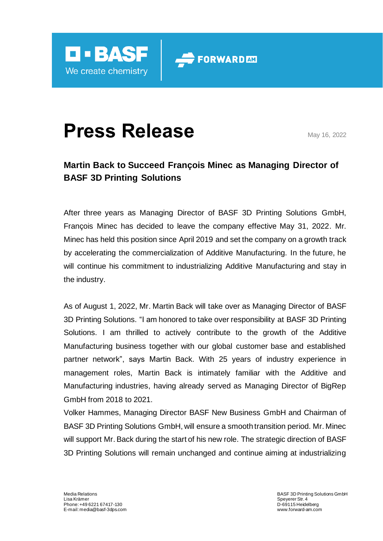

## **Press Release** May 16, 2022

## **Martin Back to Succeed François Minec as Managing Director of BASF 3D Printing Solutions**

FORWARD AM

After three years as Managing Director of BASF 3D Printing Solutions GmbH, François Minec has decided to leave the company effective May 31, 2022. Mr. Minec has held this position since April 2019 and set the company on a growth track by accelerating the commercialization of Additive Manufacturing. In the future, he will continue his commitment to industrializing Additive Manufacturing and stay in the industry.

As of August 1, 2022, Mr. Martin Back will take over as Managing Director of BASF 3D Printing Solutions. "I am honored to take over responsibility at BASF 3D Printing Solutions. I am thrilled to actively contribute to the growth of the Additive Manufacturing business together with our global customer base and established partner network", says Martin Back. With 25 years of industry experience in management roles, Martin Back is intimately familiar with the Additive and Manufacturing industries, having already served as Managing Director of BigRep GmbH from 2018 to 2021.

Volker Hammes, Managing Director BASF New Business GmbH and Chairman of BASF 3D Printing Solutions GmbH, will ensure a smooth transition period. Mr. Minec will support Mr. Back during the start of his new role. The strategic direction of BASF 3D Printing Solutions will remain unchanged and continue aiming at industrializing